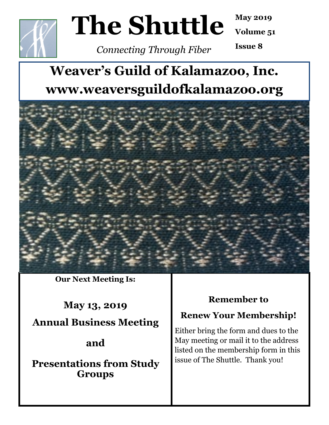

# **The Shuttle**

**May 2019**

**Volume 51**

*Connecting Through Fiber*

**Issue 8**

# **Weaver's Guild of Kalamazoo, Inc. www.weaversguildofkalamazoo.org**



**Our Next Meeting Is:** 

**May 13, 2019 Annual Business Meeting**

# **and**

**Presentations from Study Groups**

# **Remember to**

# **Renew Your Membership!**

Either bring the form and dues to the May meeting or mail it to the address listed on the membership form in this issue of The Shuttle. Thank you!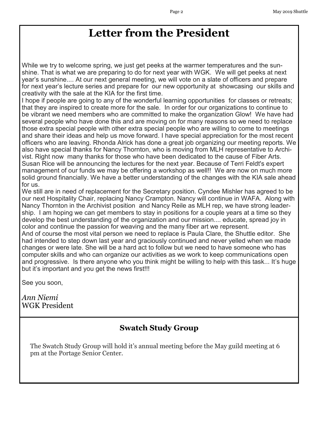# **Letter from the President**

While we try to welcome spring, we just get peeks at the warmer temperatures and the sunshine. That is what we are preparing to do for next year with WGK. We will get peeks at next year's sunshine.... At our next general meeting, we will vote on a slate of officers and prepare for next year's lecture series and prepare for our new opportunity at showcasing our skills and creativity with the sale at the KIA for the first time.

I hope if people are going to any of the wonderful learning opportunities for classes or retreats; that they are inspired to create more for the sale. In order for our organizations to continue to be vibrant we need members who are committed to make the organization Glow! We have had several people who have done this and are moving on for many reasons so we need to replace those extra special people with other extra special people who are willing to come to meetings and share their ideas and help us move forward. I have special appreciation for the most recent officers who are leaving. Rhonda Alrick has done a great job organizing our meeting reports. We also have special thanks for Nancy Thornton, who is moving from MLH representative to Archivist. Right now many thanks for those who have been dedicated to the cause of Fiber Arts. Susan Rice will be announcing the lectures for the next year. Because of Terri Feldt's expert management of our funds we may be offering a workshop as well!! We are now on much more solid ground financially. We have a better understanding of the changes with the KIA sale ahead for us.

We still are in need of replacement for the Secretary position. Cyndee Mishler has agreed to be our next Hospitality Chair, replacing Nancy Crampton. Nancy will continue in WAFA. Along with Nancy Thornton in the Archivist position and Nancy Reile as MLH rep, we have strong leadership. I am hoping we can get members to stay in positions for a couple years at a time so they develop the best understanding of the organization and our mission.... educate, spread joy in color and continue the passion for weaving and the many fiber art we represent.

And of course the most vital person we need to replace is Paula Clare, the Shuttle editor. She had intended to step down last year and graciously continued and never yelled when we made changes or were late. She will be a hard act to follow but we need to have someone who has computer skills and who can organize our activities as we work to keep communications open and progressive. Is there anyone who you think might be willing to help with this task... It's huge but it's important and you get the news first!!!

See you soon,

*Ann Niemi* WGK President

#### **Swatch Study Group**

The Swatch Study Group will hold it's annual meeting before the May guild meeting at 6 pm at the Portage Senior Center.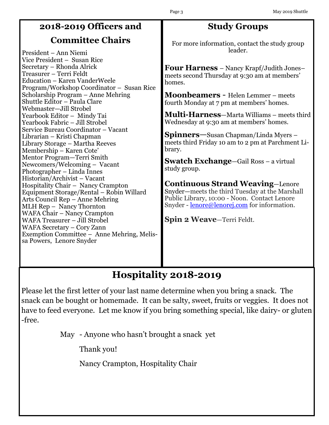# **2018-2019 Officers and**

## **Committee Chairs**

President – Ann Niemi Vice President – Susan Rice Secretary – Rhonda Alrick Treasurer – Terri Feldt Education – Karen VanderWeele Program/Workshop Coordinator – Susan Rice Scholarship Program – Anne Mehring Shuttle Editor – Paula Clare Webmaster—Jill Strobel Yearbook Editor – Mindy Tai Yearbook Fabric – Jill Strobel Service Bureau Coordinator – Vacant Librarian – Kristi Chapman Library Storage – Martha Reeves Membership – Karen Cote' Mentor Program—Terri Smith Newcomers/Welcoming – Vacant Photographer – Linda Innes Historian/Archivist – Vacant Hospitality Chair – Nancy Crampton Equipment Storage/Rental – Robin Willard Arts Council Rep – Anne Mehring MLH Rep – Nancy Thornton WAFA Chair – Nancy Crampton WAFA Treasurer – Jill Strobel WAFA Secretary – Cory Zann Exemption Committee – Anne Mehring, Melissa Powers, Lenore Snyder

# **Study Groups**

For more information, contact the study group leader.

**Four Harness** – Nancy Krapf/Judith Jones– meets second Thursday at 9:30 am at members' homes.

**Moonbeamers** - Helen Lemmer – meets fourth Monday at 7 pm at members' homes.

**Multi-Harness**—Marta Williams – meets third Wednesday at 9:30 am at members' homes.

**Spinners**—Susan Chapman/Linda Myers – meets third Friday 10 am to 2 pm at Parchment Library.

**Swatch Exchange**—Gail Ross – a virtual study group.

**Continuous Strand Weaving**—Lenore Snyder—meets the third Tuesday at the Marshall Public Library, 10:00 - Noon. Contact Lenore Snyder - <u>[lenore@lenorej.com](mailto:lenore@lenorej.com)</u> for information.

**Spin 2 Weave**—Terri Feldt.

# **Hospitality 2018-2019**

Please let the first letter of your last name determine when you bring a snack. The snack can be bought or homemade. It can be salty, sweet, fruits or veggies. It does not have to feed everyone. Let me know if you bring something special, like dairy- or gluten -free.

May - Anyone who hasn't brought a snack yet

Thank you!

Nancy Crampton, Hospitality Chair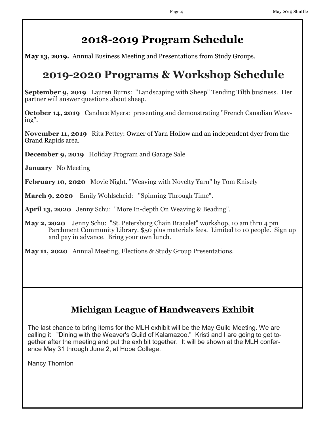# **2018-2019 Program Schedule**

**May 13, 2019.** Annual Business Meeting and Presentations from Study Groups.

# **2019-2020 Programs & Workshop Schedule**

**September 9, 2019** Lauren Burns: "Landscaping with Sheep" Tending Tilth business. Her partner will answer questions about sheep.

**October 14, 2019** Candace Myers: presenting and demonstrating "French Canadian Weaving".

**November 11, 2019** Rita Pettey: Owner of Yarn Hollow and an independent dyer from the Grand Rapids area.

**December 9, 2019** Holiday Program and Garage Sale

**January** No Meeting

**February 10, 2020** Movie Night. "Weaving with Novelty Yarn" by Tom Knisely

**March 9, 2020** Emily Wohlscheid: "Spinning Through Time".

**April 13, 2020** Jenny Schu: "More In-depth On Weaving & Beading".

**May 2, 2020** Jenny Schu: "St. Petersburg Chain Bracelet" workshop, 10 am thru 4 pm Parchment Community Library. \$50 plus materials fees. Limited to 10 people. Sign up and pay in advance. Bring your own lunch.

**May 11, 2020** Annual Meeting, Elections & Study Group Presentations.

# **Michigan League of Handweavers Exhibit**

The last chance to bring items for the MLH exhibit will be the May Guild Meeting. We are calling it "Dining with the Weaver's Guild of Kalamazoo." Kristi and I are going to get together after the meeting and put the exhibit together. It will be shown at the MLH conference May 31 through June 2, at Hope College.

Nancy Thornton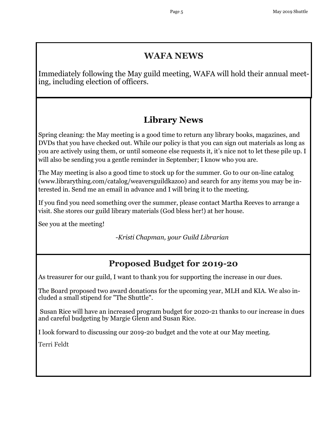## **WAFA NEWS**

Immediately following the May guild meeting, WAFA will hold their annual meeting, including election of officers.

# **Library News**

Spring cleaning: the May meeting is a good time to return any library books, magazines, and DVDs that you have checked out. While our policy is that you can sign out materials as long as you are actively using them, or until someone else requests it, it's nice not to let these pile up. I will also be sending you a gentle reminder in September; I know who you are.

The May meeting is also a good time to stock up for the summer. Go to our on-line catalog (www.librarything.com/catalog/weaversguildkazoo) and search for any items you may be interested in. Send me an email in advance and I will bring it to the meeting.

If you find you need something over the summer, please contact Martha Reeves to arrange a visit. She stores our guild library materials (God bless her!) at her house.

See you at the meeting!

-*Kristi Chapman, your Guild Librarian* 

# **Proposed Budget for 2019-20**

As treasurer for our guild, I want to thank you for supporting the increase in our dues.

The Board proposed two award donations for the upcoming year, MLH and KIA. We also included a small stipend for "The Shuttle".

Susan Rice will have an increased program budget for 2020-21 thanks to our increase in dues and careful budgeting by Margie Glenn and Susan Rice.

I look forward to discussing our 2019-20 budget and the vote at our May meeting.

Terri Feldt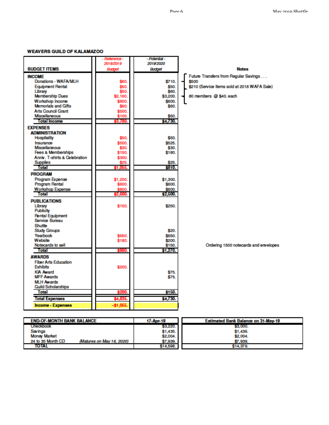#### **WEAVERS GUILD OF KALAMAZOO**

|                                       | - Reference - | - Potential - |                                              |
|---------------------------------------|---------------|---------------|----------------------------------------------|
|                                       | 2018/2019     | 2019/2020     |                                              |
| <b>BUDGET ITEMS</b>                   | Budget        | Budget        | <b>Notes</b>                                 |
| <b>INCOME</b>                         |               |               | Future Transfers from Regular Savings        |
| Donations - WAFA/MLH                  | \$60.         | \$710.        | \$500                                        |
| <b>Equipment Rental</b>               | \$50.         | \$50.         | \$210 (Service Items sold at 2018 WAFA Sale) |
| Library                               | \$50.         | \$60.         |                                              |
| <b>Membership Dues</b>                | \$2,160.      | \$3,200.      | 80 members @ \$40, each                      |
| Workshop Income                       | \$800.        | \$600.        |                                              |
| <b>Memorials and Gifts</b>            | \$60.         | \$60.         |                                              |
| <b>Arts Council Grant</b>             | \$500.        |               |                                              |
| <b>Miscellaneous</b>                  | \$100.        | \$50.         |                                              |
| <b>Total Income</b>                   | 33,780.       | \$4,730.      |                                              |
| <b>EXPENSES</b>                       |               |               |                                              |
| <b>ADMINISTRATION</b>                 |               |               |                                              |
| Hospitality                           | \$50.         | \$50.         |                                              |
| Insurance                             | \$500.        | \$525.        |                                              |
| Miscellaneous                         | \$30.         | \$30.         |                                              |
| <b>Fees &amp; Memberships</b>         | \$150.        | \$180.        |                                              |
| Anniv. T-shirts & Celebration         | \$300.        |               |                                              |
| <b>Supplies</b>                       | \$25.         | \$25.         |                                              |
| Total                                 | 1.06          | \$810.        |                                              |
| <b>PROGRAM</b>                        |               |               |                                              |
| Program Expense                       | \$1,200.      | \$1,300.      |                                              |
| <b>Program Rental</b>                 | \$600.        | \$600.        |                                              |
| <b>Workshop Expense</b>               | \$800.        | \$600.        |                                              |
| Total                                 | \$2,600.      | \$2,500.      |                                              |
| <b>PUBLICATIONS</b>                   |               |               |                                              |
| Library                               | \$150.        | \$250.        |                                              |
| Publicity                             |               |               |                                              |
| <b>Rental Equipment</b>               |               |               |                                              |
| Service Bureau                        |               |               |                                              |
| Shuttle                               |               |               |                                              |
| <b>Study Groups</b>                   |               | \$20.         |                                              |
| Yearbook                              | \$650.        | \$650.        |                                              |
| Website<br>Notecards to sell          | \$180.        | \$200.        |                                              |
| Total                                 | 3980.         | \$150.        | Ordering 1500 notecards and envelopes        |
|                                       |               | \$1,270.      |                                              |
| <b>AWARDS</b>                         |               |               |                                              |
| <b>Fiber Arts Education</b>           |               |               |                                              |
| <b>Exhibits</b>                       | \$200.        |               |                                              |
| <b>KIA Award</b><br><b>MFF Awards</b> |               | \$75.         |                                              |
| <b>MLH Awards</b>                     |               | \$75.         |                                              |
| <b>Guild Scholarships</b>             |               |               |                                              |
| <b>Total</b>                          | \$200.        | \$150.        |                                              |
|                                       |               |               |                                              |
| <b>Total Expenses</b>                 | \$4,835.      | \$4,730.      |                                              |
| Income - Expenses                     | $-$1,055$     |               |                                              |

| <b>END-OF-MONTH BANK BALANCE</b> |                           | 17-Apr-19 | Estimated Bank Balance on 31-May-19 |
|----------------------------------|---------------------------|-----------|-------------------------------------|
| Checkbook                        |                           | \$3,220.  | \$3,000.                            |
| <b>Savings</b>                   |                           | \$1,435.  | \$1,436.                            |
| <b>Money Market</b>              |                           | \$2,004.  | \$2,004.                            |
| 24 to 35 Month CD                | (Matures on May 16, 2020) | \$7,939.  | \$7,939.                            |
| <b>TOTAL</b>                     |                           | \$14,598. | \$14,379.                           |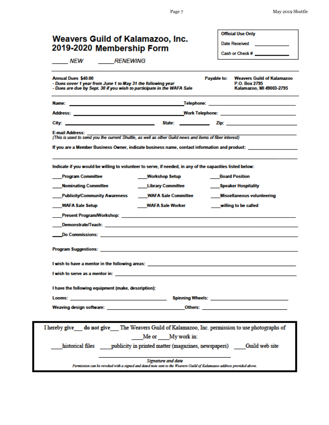| <b>Annual Dues \$40.00</b><br>Payable to:<br>- Dues cover 1 year from June 1 to May 31 the following year<br>- Dues are due by Sept. 30 if you wish to participate in the WAFA Sale<br>E-mail Address: ______<br>(This is used to send you the current Shuttle, as well as other Guild news and items of fiber interest)<br>If you are a Member Business Owner, indicate business name, contact information and product: _________________<br>Indicate if you would be willing to volunteer to serve, if needed, in any of the capacities listed below:<br><b>Program Committee</b><br><b>Workshop Setup</b><br><b>Nominating Committee</b><br><b>Library Committee</b><br>Publicity/Community Awareness ______ WAFA Sale Committee<br><b>WAFA Sale Setup</b><br>WAFA Sale Worker<br>I wish to have a mentor in the following areas:<br>I wish to serve as a mentor in: the state of the state of the state of the state of the state of the state of the state of the state of the state of the state of the state of the state of the state of the state of the stat<br>I have the following equipment (make, description):<br><b>Looms:</b> <u>Andreas and American contract and a series of the series of the series of the series of the series of the series of the series of the series of the series of the series of the series of the series of the series o</u><br>Weaving design software: the contract of the contract of the contract of the contract of the contract of the contract of the contract of the contract of the contract of the contract of the contract of the contract of the c<br>I hereby give do not give The Weavers Guild of Kalamazoo, Inc. permission to use photographs of<br>Me or My work in: | <b>Official Use Only</b><br>Date Received _____________<br>Cash or Check # _____________ |  |  |  |  |  |  |  |
|--------------------------------------------------------------------------------------------------------------------------------------------------------------------------------------------------------------------------------------------------------------------------------------------------------------------------------------------------------------------------------------------------------------------------------------------------------------------------------------------------------------------------------------------------------------------------------------------------------------------------------------------------------------------------------------------------------------------------------------------------------------------------------------------------------------------------------------------------------------------------------------------------------------------------------------------------------------------------------------------------------------------------------------------------------------------------------------------------------------------------------------------------------------------------------------------------------------------------------------------------------------------------------------------------------------------------------------------------------------------------------------------------------------------------------------------------------------------------------------------------------------------------------------------------------------------------------------------------------------------------------------------------------------------------------------------------------------------------------------|------------------------------------------------------------------------------------------|--|--|--|--|--|--|--|
|                                                                                                                                                                                                                                                                                                                                                                                                                                                                                                                                                                                                                                                                                                                                                                                                                                                                                                                                                                                                                                                                                                                                                                                                                                                                                                                                                                                                                                                                                                                                                                                                                                                                                                                                      | <b>Weavers Guild of Kalamazoo</b><br>P.O. Box 2795<br>Kalamazoo, MI 49003-2795           |  |  |  |  |  |  |  |
|                                                                                                                                                                                                                                                                                                                                                                                                                                                                                                                                                                                                                                                                                                                                                                                                                                                                                                                                                                                                                                                                                                                                                                                                                                                                                                                                                                                                                                                                                                                                                                                                                                                                                                                                      |                                                                                          |  |  |  |  |  |  |  |
|                                                                                                                                                                                                                                                                                                                                                                                                                                                                                                                                                                                                                                                                                                                                                                                                                                                                                                                                                                                                                                                                                                                                                                                                                                                                                                                                                                                                                                                                                                                                                                                                                                                                                                                                      |                                                                                          |  |  |  |  |  |  |  |
|                                                                                                                                                                                                                                                                                                                                                                                                                                                                                                                                                                                                                                                                                                                                                                                                                                                                                                                                                                                                                                                                                                                                                                                                                                                                                                                                                                                                                                                                                                                                                                                                                                                                                                                                      |                                                                                          |  |  |  |  |  |  |  |
|                                                                                                                                                                                                                                                                                                                                                                                                                                                                                                                                                                                                                                                                                                                                                                                                                                                                                                                                                                                                                                                                                                                                                                                                                                                                                                                                                                                                                                                                                                                                                                                                                                                                                                                                      |                                                                                          |  |  |  |  |  |  |  |
|                                                                                                                                                                                                                                                                                                                                                                                                                                                                                                                                                                                                                                                                                                                                                                                                                                                                                                                                                                                                                                                                                                                                                                                                                                                                                                                                                                                                                                                                                                                                                                                                                                                                                                                                      |                                                                                          |  |  |  |  |  |  |  |
|                                                                                                                                                                                                                                                                                                                                                                                                                                                                                                                                                                                                                                                                                                                                                                                                                                                                                                                                                                                                                                                                                                                                                                                                                                                                                                                                                                                                                                                                                                                                                                                                                                                                                                                                      | <b>Board Position</b>                                                                    |  |  |  |  |  |  |  |
|                                                                                                                                                                                                                                                                                                                                                                                                                                                                                                                                                                                                                                                                                                                                                                                                                                                                                                                                                                                                                                                                                                                                                                                                                                                                                                                                                                                                                                                                                                                                                                                                                                                                                                                                      | Speaker Hospitality                                                                      |  |  |  |  |  |  |  |
|                                                                                                                                                                                                                                                                                                                                                                                                                                                                                                                                                                                                                                                                                                                                                                                                                                                                                                                                                                                                                                                                                                                                                                                                                                                                                                                                                                                                                                                                                                                                                                                                                                                                                                                                      | Miscellaneous volunteering                                                               |  |  |  |  |  |  |  |
|                                                                                                                                                                                                                                                                                                                                                                                                                                                                                                                                                                                                                                                                                                                                                                                                                                                                                                                                                                                                                                                                                                                                                                                                                                                                                                                                                                                                                                                                                                                                                                                                                                                                                                                                      | willing to be called                                                                     |  |  |  |  |  |  |  |
|                                                                                                                                                                                                                                                                                                                                                                                                                                                                                                                                                                                                                                                                                                                                                                                                                                                                                                                                                                                                                                                                                                                                                                                                                                                                                                                                                                                                                                                                                                                                                                                                                                                                                                                                      |                                                                                          |  |  |  |  |  |  |  |
|                                                                                                                                                                                                                                                                                                                                                                                                                                                                                                                                                                                                                                                                                                                                                                                                                                                                                                                                                                                                                                                                                                                                                                                                                                                                                                                                                                                                                                                                                                                                                                                                                                                                                                                                      |                                                                                          |  |  |  |  |  |  |  |
|                                                                                                                                                                                                                                                                                                                                                                                                                                                                                                                                                                                                                                                                                                                                                                                                                                                                                                                                                                                                                                                                                                                                                                                                                                                                                                                                                                                                                                                                                                                                                                                                                                                                                                                                      |                                                                                          |  |  |  |  |  |  |  |
|                                                                                                                                                                                                                                                                                                                                                                                                                                                                                                                                                                                                                                                                                                                                                                                                                                                                                                                                                                                                                                                                                                                                                                                                                                                                                                                                                                                                                                                                                                                                                                                                                                                                                                                                      |                                                                                          |  |  |  |  |  |  |  |
|                                                                                                                                                                                                                                                                                                                                                                                                                                                                                                                                                                                                                                                                                                                                                                                                                                                                                                                                                                                                                                                                                                                                                                                                                                                                                                                                                                                                                                                                                                                                                                                                                                                                                                                                      |                                                                                          |  |  |  |  |  |  |  |
|                                                                                                                                                                                                                                                                                                                                                                                                                                                                                                                                                                                                                                                                                                                                                                                                                                                                                                                                                                                                                                                                                                                                                                                                                                                                                                                                                                                                                                                                                                                                                                                                                                                                                                                                      |                                                                                          |  |  |  |  |  |  |  |
|                                                                                                                                                                                                                                                                                                                                                                                                                                                                                                                                                                                                                                                                                                                                                                                                                                                                                                                                                                                                                                                                                                                                                                                                                                                                                                                                                                                                                                                                                                                                                                                                                                                                                                                                      |                                                                                          |  |  |  |  |  |  |  |
|                                                                                                                                                                                                                                                                                                                                                                                                                                                                                                                                                                                                                                                                                                                                                                                                                                                                                                                                                                                                                                                                                                                                                                                                                                                                                                                                                                                                                                                                                                                                                                                                                                                                                                                                      |                                                                                          |  |  |  |  |  |  |  |
|                                                                                                                                                                                                                                                                                                                                                                                                                                                                                                                                                                                                                                                                                                                                                                                                                                                                                                                                                                                                                                                                                                                                                                                                                                                                                                                                                                                                                                                                                                                                                                                                                                                                                                                                      |                                                                                          |  |  |  |  |  |  |  |
|                                                                                                                                                                                                                                                                                                                                                                                                                                                                                                                                                                                                                                                                                                                                                                                                                                                                                                                                                                                                                                                                                                                                                                                                                                                                                                                                                                                                                                                                                                                                                                                                                                                                                                                                      |                                                                                          |  |  |  |  |  |  |  |
| historical files bublicity in printed matter (magazines, newspapers) Guild web site                                                                                                                                                                                                                                                                                                                                                                                                                                                                                                                                                                                                                                                                                                                                                                                                                                                                                                                                                                                                                                                                                                                                                                                                                                                                                                                                                                                                                                                                                                                                                                                                                                                  |                                                                                          |  |  |  |  |  |  |  |
| Signature and date<br>Permission can be revoked with a signed and dated note sent to the Weavers Guild of Kalamazoo address provided above.                                                                                                                                                                                                                                                                                                                                                                                                                                                                                                                                                                                                                                                                                                                                                                                                                                                                                                                                                                                                                                                                                                                                                                                                                                                                                                                                                                                                                                                                                                                                                                                          |                                                                                          |  |  |  |  |  |  |  |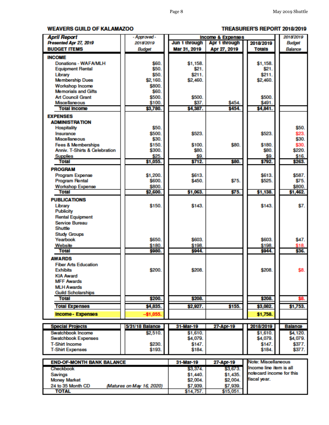#### **WEAVERS GUILD OF KALAMAZOO**

#### TREASURER'S REPORT 2018/2019

| <b>April Report</b>              | - Approved -              | <b>Income &amp; Expenses</b> |               |                          | 2018/2019      |  |  |
|----------------------------------|---------------------------|------------------------------|---------------|--------------------------|----------------|--|--|
| Presented Apr 27, 2019           | 2018/2019                 | Jun 1 through                | Apr 1 through | 2018/2019                | Budget         |  |  |
| <b>BUDGET ITEMS</b>              | <b>Budget</b>             | Mar 31, 2019                 | Apr 27, 2019  | <b>Totals</b>            | Balance        |  |  |
| <b>INCOME</b>                    |                           |                              |               |                          |                |  |  |
| Donations - WAFA/MLH             | \$60.                     | \$1.158.                     |               | \$1.158.                 |                |  |  |
| <b>Equipment Rental</b>          | \$50.                     | \$21.                        |               | \$21.                    |                |  |  |
| Library                          | \$50.                     | \$211.                       |               | \$211.                   |                |  |  |
| <b>Membership Dues</b>           | \$2,160.                  | \$2,460.                     |               | \$2,460.                 |                |  |  |
| Workshop Income                  | \$800.                    |                              |               |                          |                |  |  |
| <b>Memorials and Gifts</b>       | \$60.                     |                              |               |                          |                |  |  |
| <b>Art Council Grant</b>         | \$500.                    | \$500.                       |               | \$500.                   |                |  |  |
| <b>Miscellaneous</b>             | \$100.                    | \$37.                        | \$454.        | \$491.                   |                |  |  |
| <b>Total Income</b>              | \$3,780.                  | \$4,387.                     | \$454.        | \$4,841.                 |                |  |  |
|                                  |                           |                              |               |                          |                |  |  |
| <b>EXPENSES</b>                  |                           |                              |               |                          |                |  |  |
| <b>ADMINISTRATION</b>            |                           |                              |               |                          |                |  |  |
| <b>Hospitality</b>               | \$50.                     |                              |               |                          | \$50.          |  |  |
| Insurance                        | \$500.                    | \$523.                       |               | \$523.                   | \$23.          |  |  |
| <b>Miscellaneous</b>             | \$30.                     |                              |               |                          | \$30.          |  |  |
| <b>Fees &amp; Memberships</b>    | \$150.                    | \$100.                       | \$80.         | \$180.                   | \$30.          |  |  |
| Anniv. T-Shirts & Celebration    | \$300.                    | \$80.                        |               | \$80.                    | \$220.         |  |  |
| <b>Supplies</b>                  | \$25.                     | \$9.                         |               | \$9.                     | \$16.          |  |  |
| <b>Total</b>                     | \$1,055.                  | \$712.                       | \$80.         | \$792.                   | \$263.         |  |  |
| <b>PROGRAM</b>                   |                           |                              |               |                          |                |  |  |
| Program Expense                  | \$1,200.                  | \$613.                       |               | \$613.                   | \$587.         |  |  |
| <b>Program Rental</b>            | \$600.                    | \$450.                       | \$75.         | \$525.                   | \$75.          |  |  |
| <b>Workshop Expense</b>          | \$800.                    |                              |               |                          | \$800.         |  |  |
| <b>Total</b>                     | \$2,600.                  | \$1,063.                     | \$75.         | \$1,138.                 | \$1,462.       |  |  |
|                                  |                           |                              |               |                          |                |  |  |
| <b>PUBLICATIONS</b>              |                           |                              |               |                          |                |  |  |
| Library                          | \$150.                    | \$143.                       |               | \$143.                   | \$7.           |  |  |
| <b>Publicity</b>                 |                           |                              |               |                          |                |  |  |
| <b>Rental Equipment</b>          |                           |                              |               |                          |                |  |  |
| Service Bureau                   |                           |                              |               |                          |                |  |  |
| Shuttle                          |                           |                              |               |                          |                |  |  |
| <b>Study Groups</b>              |                           |                              |               |                          |                |  |  |
| Yearbook                         | \$650.                    | \$603.                       |               | \$603.                   | \$47.          |  |  |
| Website                          | \$180.                    | \$198.                       |               | \$198.                   | \$18.          |  |  |
| <b>Total</b>                     | \$980.                    | \$944.                       |               | \$944.                   | \$36.          |  |  |
| <b>AWARDS</b>                    |                           |                              |               |                          |                |  |  |
| <b>Fiber Arts Education</b>      |                           |                              |               |                          |                |  |  |
| <b>Exhibits</b>                  | \$200.                    | \$208.                       |               | \$208.                   | \$8.           |  |  |
| <b>KIA Award</b>                 |                           |                              |               |                          |                |  |  |
| <b>MFF Awards</b>                |                           |                              |               |                          |                |  |  |
| <b>MLH Awards</b>                |                           |                              |               |                          |                |  |  |
| <b>Guild Scholarships</b>        |                           |                              |               |                          |                |  |  |
| Total                            | \$200.                    | \$208.                       |               | \$208.                   | \$8.           |  |  |
|                                  |                           |                              |               |                          |                |  |  |
| <b>Total Expenses</b>            | \$4,835.                  | \$2,927.                     | \$155.        | \$3,082.                 | \$1,753.       |  |  |
| Income - Expenses                | $-$1,055.$                |                              |               | \$1,758.                 |                |  |  |
|                                  |                           |                              |               |                          |                |  |  |
| <b>Special Projects</b>          | 5/31/18 Balance           | 31-Mar-19                    | 27-Apr-19     | 2018/2019                | <b>Balance</b> |  |  |
| Swatchbook Income                | \$2,510.                  | \$1,610.                     |               | \$1,610.                 | \$4,120.       |  |  |
| Swatchbook Expenses              |                           | \$4,079.                     |               | \$4,079.                 | \$4,079.       |  |  |
| <b>T-Shirt Income</b>            | \$230.                    | \$147.                       |               | \$147.                   | \$377.         |  |  |
| <b>T-Shirt Expenses</b>          | \$193.                    | \$184.                       |               | \$184.                   | \$377.         |  |  |
|                                  |                           |                              |               |                          |                |  |  |
| <b>END-OF-MONTH BANK BALANCE</b> |                           | 31-Mar-19                    | 27-Apr-19     | Note: Miscellaneous      |                |  |  |
| Checkbook                        |                           | \$3,374.                     | \$3,673.      | Income line item is all  |                |  |  |
| Savings                          |                           | \$1,440.                     | \$1,435.      | notecard income for this |                |  |  |
| <b>Money Market</b>              |                           | \$2,004.                     | \$2,004.      | fiscal year.             |                |  |  |
| 24 to 35 Month CD                | (Matures on May 16, 2020) | \$7,939.                     | \$7,939.      |                          |                |  |  |
| <b>TOTAL</b>                     |                           | \$14,757                     | \$15,051      |                          |                |  |  |